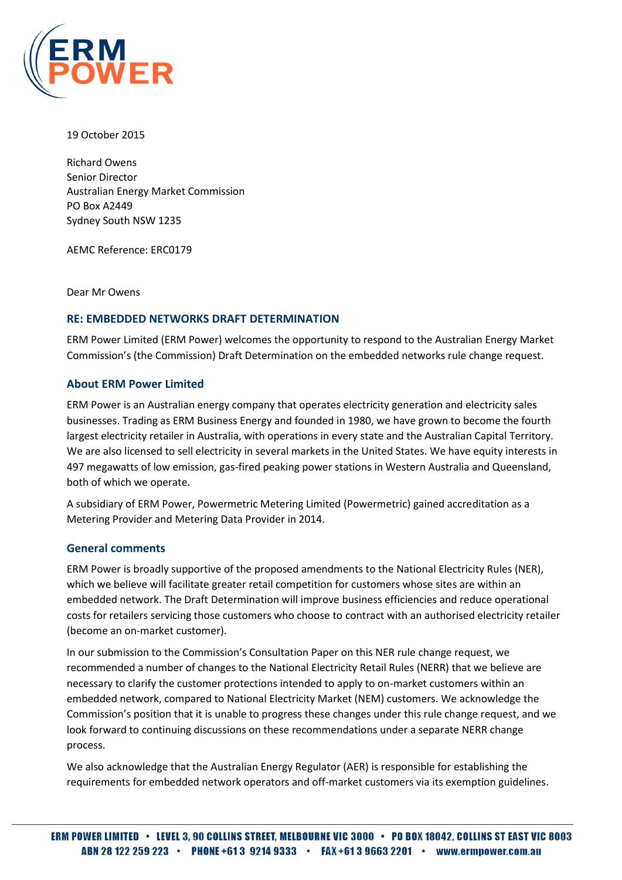

19 October 2015

Richard Owens Senior Director Australian Energy Market Commission PO Box A2449 Sydney South NSW 1235

AEMC Reference: ERC0179

Dear Mr Owens

## **RE: EMBEDDED NETWORKS DRAFT DETERMINATION**

ERM Power Limited (ERM Power) welcomes the opportunity to respond to the Australian Energy Market Commission's (the Commission) Draft Determination on the embedded networks rule change request.

## **About ERM Power Limited**

ERM Power is an Australian energy company that operates electricity generation and electricity sales businesses. Trading as ERM Business Energy and founded in 1980, we have grown to become the fourth largest electricity retailer in Australia, with operations in every state and the Australian Capital Territory. We are also licensed to sell electricity in several markets in the United States. We have equity interests in 497 megawatts of low emission, gas-fired peaking power stations in Western Australia and Queensland, both of which we operate.

A subsidiary of ERM Power, Powermetric Metering Limited (Powermetric) gained accreditation as a Metering Provider and Metering Data Provider in 2014.

# **General comments**

ERM Power is broadly supportive of the proposed amendments to the National Electricity Rules (NER), which we believe will facilitate greater retail competition for customers whose sites are within an embedded network. The Draft Determination will improve business efficiencies and reduce operational costs for retailers servicing those customers who choose to contract with an authorised electricity retailer (become an on-market customer).

In our submission to the Commission's Consultation Paper on this NER rule change request, we recommended a number of changes to the National Electricity Retail Rules (NERR) that we believe are necessary to clarify the customer protections intended to apply to on-market customers within an embedded network, compared to National Electricity Market (NEM) customers. We acknowledge the Commission's position that it is unable to progress these changes under this rule change request, and we look forward to continuing discussions on these recommendations under a separate NERR change process.

We also acknowledge that the Australian Energy Regulator (AER) is responsible for establishing the requirements for embedded network operators and off-market customers via its exemption guidelines.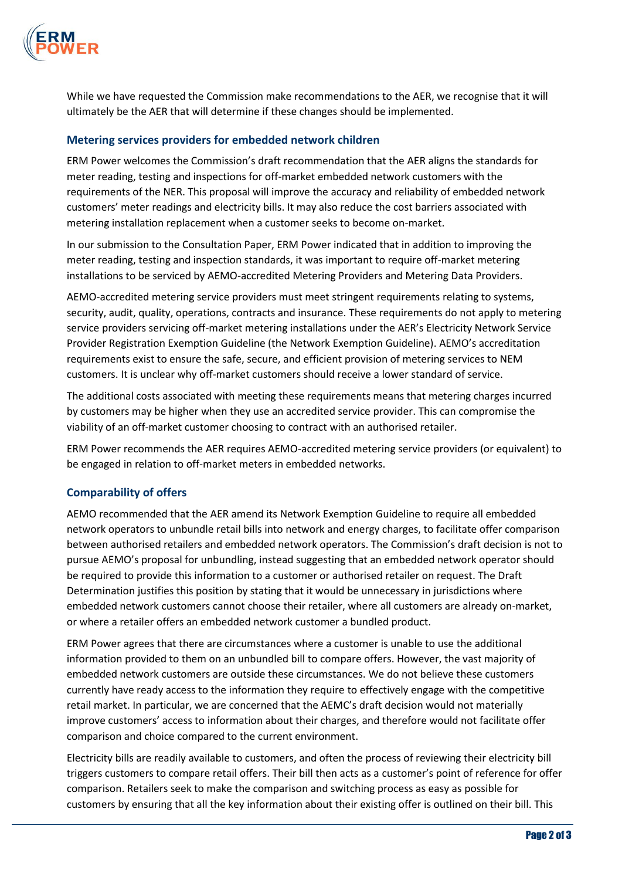

While we have requested the Commission make recommendations to the AER, we recognise that it will ultimately be the AER that will determine if these changes should be implemented.

# **Metering services providers for embedded network children**

ERM Power welcomes the Commission's draft recommendation that the AER aligns the standards for meter reading, testing and inspections for off-market embedded network customers with the requirements of the NER. This proposal will improve the accuracy and reliability of embedded network customers' meter readings and electricity bills. It may also reduce the cost barriers associated with metering installation replacement when a customer seeks to become on-market.

In our submission to the Consultation Paper, ERM Power indicated that in addition to improving the meter reading, testing and inspection standards, it was important to require off-market metering installations to be serviced by AEMO-accredited Metering Providers and Metering Data Providers.

AEMO-accredited metering service providers must meet stringent requirements relating to systems, security, audit, quality, operations, contracts and insurance. These requirements do not apply to metering service providers servicing off-market metering installations under the AER's Electricity Network Service Provider Registration Exemption Guideline (the Network Exemption Guideline). AEMO's accreditation requirements exist to ensure the safe, secure, and efficient provision of metering services to NEM customers. It is unclear why off-market customers should receive a lower standard of service.

The additional costs associated with meeting these requirements means that metering charges incurred by customers may be higher when they use an accredited service provider. This can compromise the viability of an off-market customer choosing to contract with an authorised retailer.

ERM Power recommends the AER requires AEMO-accredited metering service providers (or equivalent) to be engaged in relation to off-market meters in embedded networks.

# **Comparability of offers**

AEMO recommended that the AER amend its Network Exemption Guideline to require all embedded network operators to unbundle retail bills into network and energy charges, to facilitate offer comparison between authorised retailers and embedded network operators. The Commission's draft decision is not to pursue AEMO's proposal for unbundling, instead suggesting that an embedded network operator should be required to provide this information to a customer or authorised retailer on request. The Draft Determination justifies this position by stating that it would be unnecessary in jurisdictions where embedded network customers cannot choose their retailer, where all customers are already on-market, or where a retailer offers an embedded network customer a bundled product.

ERM Power agrees that there are circumstances where a customer is unable to use the additional information provided to them on an unbundled bill to compare offers. However, the vast majority of embedded network customers are outside these circumstances. We do not believe these customers currently have ready access to the information they require to effectively engage with the competitive retail market. In particular, we are concerned that the AEMC's draft decision would not materially improve customers' access to information about their charges, and therefore would not facilitate offer comparison and choice compared to the current environment.

Electricity bills are readily available to customers, and often the process of reviewing their electricity bill triggers customers to compare retail offers. Their bill then acts as a customer's point of reference for offer comparison. Retailers seek to make the comparison and switching process as easy as possible for customers by ensuring that all the key information about their existing offer is outlined on their bill. This